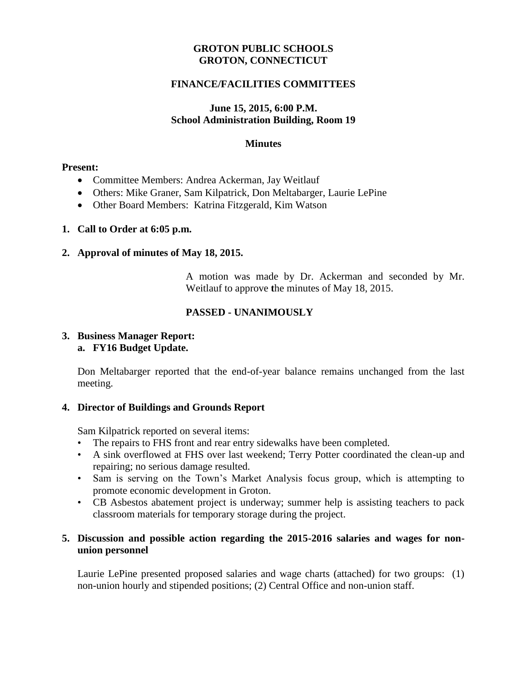### **GROTON PUBLIC SCHOOLS GROTON, CONNECTICUT**

### **FINANCE/FACILITIES COMMITTEES**

### **June 15, 2015, 6:00 P.M. School Administration Building, Room 19**

#### **Minutes**

#### **Present:**

- Committee Members: Andrea Ackerman, Jay Weitlauf
- Others: Mike Graner, Sam Kilpatrick, Don Meltabarger, Laurie LePine
- Other Board Members: Katrina Fitzgerald, Kim Watson

### **1. Call to Order at 6:05 p.m.**

### **2. Approval of minutes of May 18, 2015.**

A motion was made by Dr. Ackerman and seconded by Mr. Weitlauf to approve **t**he minutes of May 18, 2015.

## **PASSED - UNANIMOUSLY**

#### **3. Business Manager Report: a. FY16 Budget Update.**

Don Meltabarger reported that the end-of-year balance remains unchanged from the last meeting.

### **4. Director of Buildings and Grounds Report**

Sam Kilpatrick reported on several items:

- The repairs to FHS front and rear entry sidewalks have been completed.
- A sink overflowed at FHS over last weekend; Terry Potter coordinated the clean-up and repairing; no serious damage resulted.
- Sam is serving on the Town's Market Analysis focus group, which is attempting to promote economic development in Groton.
- CB Asbestos abatement project is underway; summer help is assisting teachers to pack classroom materials for temporary storage during the project.

### **5. Discussion and possible action regarding the 2015-2016 salaries and wages for nonunion personnel**

Laurie LePine presented proposed salaries and wage charts (attached) for two groups: (1) non-union hourly and stipended positions; (2) Central Office and non-union staff.